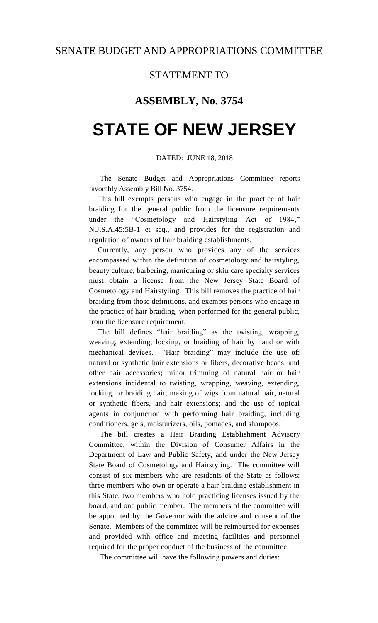## STATEMENT TO

## **ASSEMBLY, No. 3754**

# **STATE OF NEW JERSEY**

### DATED: JUNE 18, 2018

The Senate Budget and Appropriations Committee reports favorably Assembly Bill No. 3754.

This bill exempts persons who engage in the practice of hair braiding for the general public from the licensure requirements under the "Cosmetology and Hairstyling Act of 1984," N.J.S.A.45:5B-1 et seq., and provides for the registration and regulation of owners of hair braiding establishments.

Currently, any person who provides any of the services encompassed within the definition of cosmetology and hairstyling, beauty culture, barbering, manicuring or skin care specialty services must obtain a license from the New Jersey State Board of Cosmetology and Hairstyling. This bill removes the practice of hair braiding from those definitions, and exempts persons who engage in the practice of hair braiding, when performed for the general public, from the licensure requirement.

The bill defines "hair braiding" as the twisting, wrapping, weaving, extending, locking, or braiding of hair by hand or with mechanical devices. "Hair braiding" may include the use of: natural or synthetic hair extensions or fibers, decorative beads, and other hair accessories; minor trimming of natural hair or hair extensions incidental to twisting, wrapping, weaving, extending, locking, or braiding hair; making of wigs from natural hair, natural or synthetic fibers, and hair extensions; and the use of topical agents in conjunction with performing hair braiding, including conditioners, gels, moisturizers, oils, pomades, and shampoos.

The bill creates a Hair Braiding Establishment Advisory Committee, within the Division of Consumer Affairs in the Department of Law and Public Safety, and under the New Jersey State Board of Cosmetology and Hairstyling. The committee will consist of six members who are residents of the State as follows: three members who own or operate a hair braiding establishment in this State, two members who hold practicing licenses issued by the board, and one public member. The members of the committee will be appointed by the Governor with the advice and consent of the Senate. Members of the committee will be reimbursed for expenses and provided with office and meeting facilities and personnel required for the proper conduct of the business of the committee.

The committee will have the following powers and duties: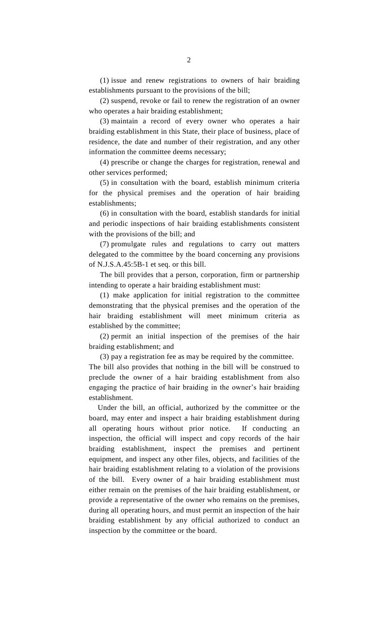(1) issue and renew registrations to owners of hair braiding establishments pursuant to the provisions of the bill;

(2) suspend, revoke or fail to renew the registration of an owner who operates a hair braiding establishment;

(3) maintain a record of every owner who operates a hair braiding establishment in this State, their place of business, place of residence, the date and number of their registration, and any other information the committee deems necessary;

(4) prescribe or change the charges for registration, renewal and other services performed;

(5) in consultation with the board, establish minimum criteria for the physical premises and the operation of hair braiding establishments;

(6) in consultation with the board, establish standards for initial and periodic inspections of hair braiding establishments consistent with the provisions of the bill; and

(7) promulgate rules and regulations to carry out matters delegated to the committee by the board concerning any provisions of N.J.S.A.45:5B-1 et seq. or this bill.

The bill provides that a person, corporation, firm or partnership intending to operate a hair braiding establishment must:

(1) make application for initial registration to the committee demonstrating that the physical premises and the operation of the hair braiding establishment will meet minimum criteria as established by the committee;

(2) permit an initial inspection of the premises of the hair braiding establishment; and

(3) pay a registration fee as may be required by the committee.

The bill also provides that nothing in the bill will be construed to preclude the owner of a hair braiding establishment from also engaging the practice of hair braiding in the owner's hair braiding establishment.

Under the bill, an official, authorized by the committee or the board, may enter and inspect a hair braiding establishment during all operating hours without prior notice. If conducting an inspection, the official will inspect and copy records of the hair braiding establishment, inspect the premises and pertinent equipment, and inspect any other files, objects, and facilities of the hair braiding establishment relating to a violation of the provisions of the bill. Every owner of a hair braiding establishment must either remain on the premises of the hair braiding establishment, or provide a representative of the owner who remains on the premises, during all operating hours, and must permit an inspection of the hair braiding establishment by any official authorized to conduct an inspection by the committee or the board.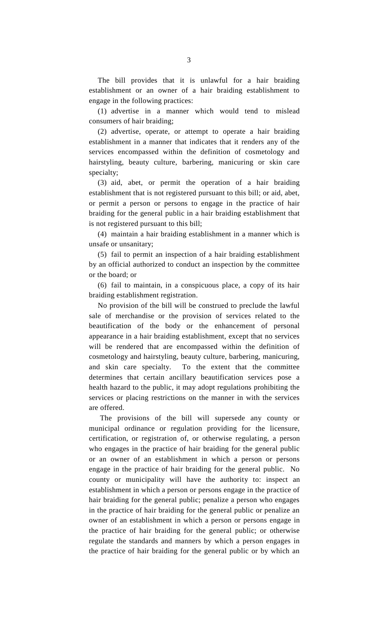The bill provides that it is unlawful for a hair braiding establishment or an owner of a hair braiding establishment to engage in the following practices:

(1) advertise in a manner which would tend to mislead consumers of hair braiding;

(2) advertise, operate, or attempt to operate a hair braiding establishment in a manner that indicates that it renders any of the services encompassed within the definition of cosmetology and hairstyling, beauty culture, barbering, manicuring or skin care specialty;

(3) aid, abet, or permit the operation of a hair braiding establishment that is not registered pursuant to this bill; or aid, abet, or permit a person or persons to engage in the practice of hair braiding for the general public in a hair braiding establishment that is not registered pursuant to this bill;

(4) maintain a hair braiding establishment in a manner which is unsafe or unsanitary;

(5) fail to permit an inspection of a hair braiding establishment by an official authorized to conduct an inspection by the committee or the board; or

(6) fail to maintain, in a conspicuous place, a copy of its hair braiding establishment registration.

No provision of the bill will be construed to preclude the lawful sale of merchandise or the provision of services related to the beautification of the body or the enhancement of personal appearance in a hair braiding establishment, except that no services will be rendered that are encompassed within the definition of cosmetology and hairstyling, beauty culture, barbering, manicuring, and skin care specialty. To the extent that the committee determines that certain ancillary beautification services pose a health hazard to the public, it may adopt regulations prohibiting the services or placing restrictions on the manner in with the services are offered.

The provisions of the bill will supersede any county or municipal ordinance or regulation providing for the licensure, certification, or registration of, or otherwise regulating, a person who engages in the practice of hair braiding for the general public or an owner of an establishment in which a person or persons engage in the practice of hair braiding for the general public. No county or municipality will have the authority to: inspect an establishment in which a person or persons engage in the practice of hair braiding for the general public; penalize a person who engages in the practice of hair braiding for the general public or penalize an owner of an establishment in which a person or persons engage in the practice of hair braiding for the general public; or otherwise regulate the standards and manners by which a person engages in the practice of hair braiding for the general public or by which an